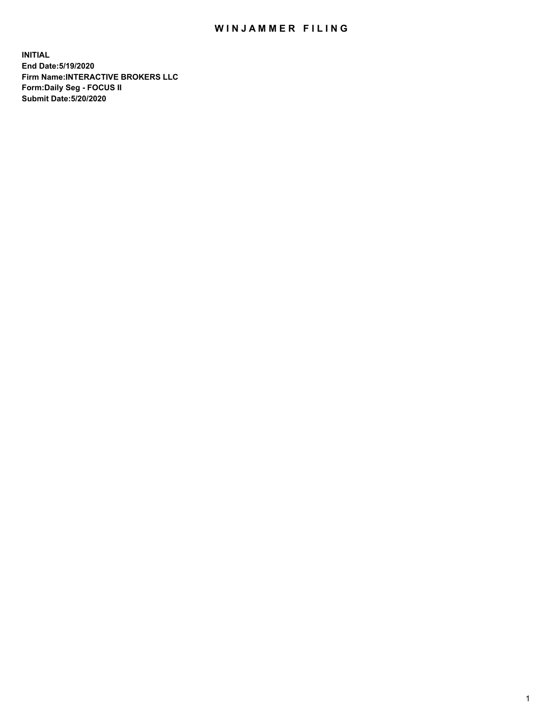## WIN JAMMER FILING

**INITIAL End Date:5/19/2020 Firm Name:INTERACTIVE BROKERS LLC Form:Daily Seg - FOCUS II Submit Date:5/20/2020**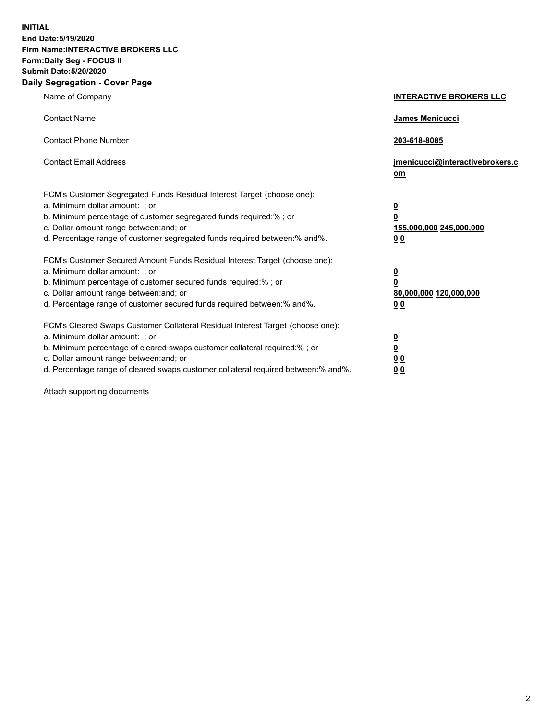**INITIAL End Date:5/19/2020 Firm Name:INTERACTIVE BROKERS LLC Form:Daily Seg - FOCUS II Submit Date:5/20/2020 Daily Segregation - Cover Page**

| Name of Company                                                                                                                                                                                                                                                                                                               | <b>INTERACTIVE BROKERS LLC</b>                                                                  |
|-------------------------------------------------------------------------------------------------------------------------------------------------------------------------------------------------------------------------------------------------------------------------------------------------------------------------------|-------------------------------------------------------------------------------------------------|
| <b>Contact Name</b>                                                                                                                                                                                                                                                                                                           | James Menicucci                                                                                 |
| <b>Contact Phone Number</b>                                                                                                                                                                                                                                                                                                   | 203-618-8085                                                                                    |
| <b>Contact Email Address</b>                                                                                                                                                                                                                                                                                                  | jmenicucci@interactivebrokers.c<br><u>om</u>                                                    |
| FCM's Customer Segregated Funds Residual Interest Target (choose one):<br>a. Minimum dollar amount: ; or<br>b. Minimum percentage of customer segregated funds required:% ; or<br>c. Dollar amount range between: and; or<br>d. Percentage range of customer segregated funds required between:% and%.                        | $\overline{\mathbf{0}}$<br>$\overline{\mathbf{0}}$<br>155,000,000 245,000,000<br>0 <sub>0</sub> |
| FCM's Customer Secured Amount Funds Residual Interest Target (choose one):<br>a. Minimum dollar amount: ; or<br>b. Minimum percentage of customer secured funds required:%; or<br>c. Dollar amount range between: and; or<br>d. Percentage range of customer secured funds required between:% and%.                           | $\overline{\mathbf{0}}$<br>$\overline{\mathbf{0}}$<br>80,000,000 120,000,000<br>0 <sub>0</sub>  |
| FCM's Cleared Swaps Customer Collateral Residual Interest Target (choose one):<br>a. Minimum dollar amount: ; or<br>b. Minimum percentage of cleared swaps customer collateral required:%; or<br>c. Dollar amount range between: and; or<br>d. Percentage range of cleared swaps customer collateral required between:% and%. | $\overline{\mathbf{0}}$<br>$\overline{\mathbf{0}}$<br>0 <sub>0</sub><br>0 <sub>0</sub>          |

Attach supporting documents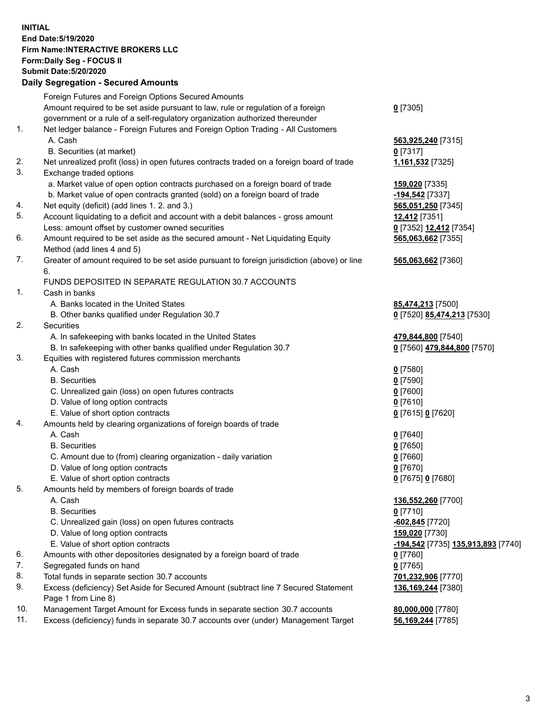**INITIAL End Date:5/19/2020 Firm Name:INTERACTIVE BROKERS LLC Form:Daily Seg - FOCUS II Submit Date:5/20/2020 Daily Segregation - Secured Amounts**

|     | Foreign Futures and Foreign Options Secured Amounts                                         |                                    |
|-----|---------------------------------------------------------------------------------------------|------------------------------------|
|     | Amount required to be set aside pursuant to law, rule or regulation of a foreign            | $0$ [7305]                         |
|     | government or a rule of a self-regulatory organization authorized thereunder                |                                    |
| 1.  | Net ledger balance - Foreign Futures and Foreign Option Trading - All Customers             |                                    |
|     | A. Cash                                                                                     | 563,925,240 [7315]                 |
|     | B. Securities (at market)                                                                   | $0$ [7317]                         |
| 2.  | Net unrealized profit (loss) in open futures contracts traded on a foreign board of trade   | 1,161,532 [7325]                   |
| 3.  | Exchange traded options                                                                     |                                    |
|     | a. Market value of open option contracts purchased on a foreign board of trade              | 159,020 [7335]                     |
|     | b. Market value of open contracts granted (sold) on a foreign board of trade                | -194,542 <sup>[7337]</sup>         |
| 4.  | Net equity (deficit) (add lines 1. 2. and 3.)                                               | 565,051,250 [7345]                 |
| 5.  | Account liquidating to a deficit and account with a debit balances - gross amount           | 12,412 [7351]                      |
|     | Less: amount offset by customer owned securities                                            | 0 [7352] 12,412 [7354]             |
| 6.  | Amount required to be set aside as the secured amount - Net Liquidating Equity              | 565,063,662 [7355]                 |
|     | Method (add lines 4 and 5)                                                                  |                                    |
| 7.  | Greater of amount required to be set aside pursuant to foreign jurisdiction (above) or line | 565,063,662 [7360]                 |
|     | 6.                                                                                          |                                    |
|     | FUNDS DEPOSITED IN SEPARATE REGULATION 30.7 ACCOUNTS                                        |                                    |
| 1.  | Cash in banks                                                                               |                                    |
|     | A. Banks located in the United States                                                       | 85,474,213 [7500]                  |
|     | B. Other banks qualified under Regulation 30.7                                              | 0 [7520] 85,474,213 [7530]         |
| 2.  | Securities                                                                                  |                                    |
|     | A. In safekeeping with banks located in the United States                                   | 479,844,800 [7540]                 |
|     | B. In safekeeping with other banks qualified under Regulation 30.7                          | 0 [7560] 479,844,800 [7570]        |
| 3.  | Equities with registered futures commission merchants                                       |                                    |
|     | A. Cash                                                                                     | $0$ [7580]                         |
|     | <b>B.</b> Securities                                                                        | $0$ [7590]                         |
|     | C. Unrealized gain (loss) on open futures contracts                                         | $0$ [7600]                         |
|     | D. Value of long option contracts                                                           | $0$ [7610]                         |
|     | E. Value of short option contracts                                                          | 0 [7615] 0 [7620]                  |
| 4.  | Amounts held by clearing organizations of foreign boards of trade                           |                                    |
|     | A. Cash                                                                                     | $Q$ [7640]                         |
|     | <b>B.</b> Securities                                                                        | $0$ [7650]                         |
|     | C. Amount due to (from) clearing organization - daily variation                             | $0$ [7660]                         |
|     | D. Value of long option contracts                                                           | $0$ [7670]                         |
|     | E. Value of short option contracts                                                          | 0 [7675] 0 [7680]                  |
| 5.  | Amounts held by members of foreign boards of trade                                          |                                    |
|     | A. Cash                                                                                     | 136,552,260 [7700]                 |
|     | <b>B.</b> Securities                                                                        | $0$ [7710]                         |
|     | C. Unrealized gain (loss) on open futures contracts                                         | -602,845 [7720]                    |
|     | D. Value of long option contracts                                                           | 159,020 [7730]                     |
|     | E. Value of short option contracts                                                          | -194,542 [7735] 135,913,893 [7740] |
| 6.  | Amounts with other depositories designated by a foreign board of trade                      | $0$ [7760]                         |
| 7.  | Segregated funds on hand                                                                    | $0$ [7765]                         |
| 8.  | Total funds in separate section 30.7 accounts                                               | 701,232,906 [7770]                 |
| 9.  | Excess (deficiency) Set Aside for Secured Amount (subtract line 7 Secured Statement         | 136,169,244 [7380]                 |
|     | Page 1 from Line 8)                                                                         |                                    |
| 10. | Management Target Amount for Excess funds in separate section 30.7 accounts                 | 80,000,000 [7780]                  |
| 11. | Excess (deficiency) funds in separate 30.7 accounts over (under) Management Target          | 56,169,244 [7785]                  |
|     |                                                                                             |                                    |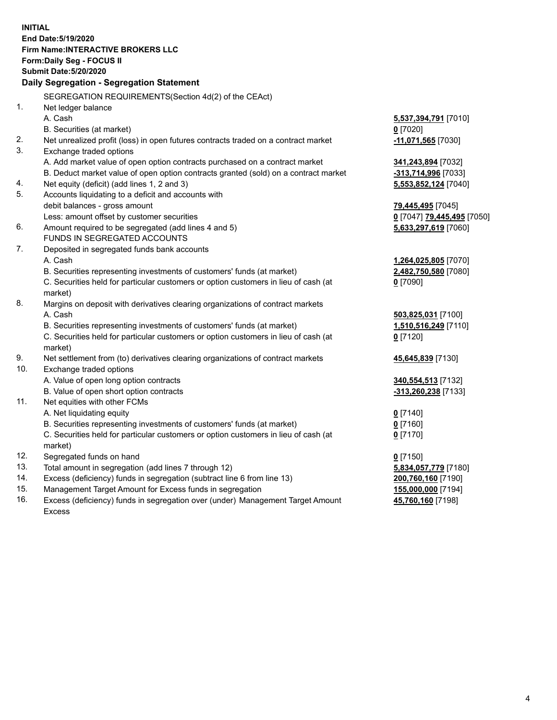**INITIAL End Date:5/19/2020 Firm Name:INTERACTIVE BROKERS LLC Form:Daily Seg - FOCUS II Submit Date:5/20/2020 Daily Segregation - Segregation Statement** SEGREGATION REQUIREMENTS(Section 4d(2) of the CEAct) 1. Net ledger balance A. Cash **5,537,394,791** [7010] B. Securities (at market) **0** [7020] 2. Net unrealized profit (loss) in open futures contracts traded on a contract market **-11,071,565** [7030] 3. Exchange traded options A. Add market value of open option contracts purchased on a contract market **341,243,894** [7032] B. Deduct market value of open option contracts granted (sold) on a contract market **-313,714,996** [7033] 4. Net equity (deficit) (add lines 1, 2 and 3) **5,553,852,124** [7040] 5. Accounts liquidating to a deficit and accounts with debit balances - gross amount **79,445,495** [7045] Less: amount offset by customer securities **0** [7047] **79,445,495** [7050] 6. Amount required to be segregated (add lines 4 and 5) **5,633,297,619** [7060] FUNDS IN SEGREGATED ACCOUNTS 7. Deposited in segregated funds bank accounts A. Cash **1,264,025,805** [7070] B. Securities representing investments of customers' funds (at market) **2,482,750,580** [7080] C. Securities held for particular customers or option customers in lieu of cash (at market) **0** [7090] 8. Margins on deposit with derivatives clearing organizations of contract markets A. Cash **503,825,031** [7100] B. Securities representing investments of customers' funds (at market) **1,510,516,249** [7110] C. Securities held for particular customers or option customers in lieu of cash (at market) **0** [7120] 9. Net settlement from (to) derivatives clearing organizations of contract markets **45,645,839** [7130] 10. Exchange traded options A. Value of open long option contracts **340,554,513** [7132] B. Value of open short option contracts **-313,260,238** [7133] 11. Net equities with other FCMs A. Net liquidating equity **0** [7140] B. Securities representing investments of customers' funds (at market) **0** [7160] C. Securities held for particular customers or option customers in lieu of cash (at market) **0** [7170] 12. Segregated funds on hand **0** [7150] 13. Total amount in segregation (add lines 7 through 12) **5,834,057,779** [7180] 14. Excess (deficiency) funds in segregation (subtract line 6 from line 13) **200,760,160** [7190] 15. Management Target Amount for Excess funds in segregation **155,000,000** [7194] **45,760,160** [7198]

16. Excess (deficiency) funds in segregation over (under) Management Target Amount Excess